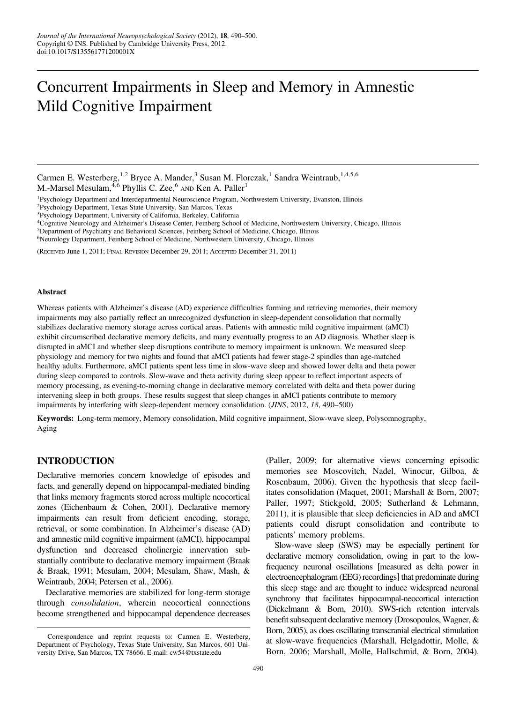# Concurrent Impairments in Sleep and Memory in Amnestic Mild Cognitive Impairment

Carmen E. Westerberg,<sup>1,2</sup> Bryce A. Mander,<sup>3</sup> Susan M. Florczak,<sup>1</sup> Sandra Weintraub,<sup>1,4,5,6</sup> M.-Marsel Mesulam,<sup>4,6</sup> Phyllis C. Zee,<sup>6</sup> AND Ken A. Paller<sup>1</sup>

1Psychology Department and Interdepartmental Neuroscience Program, Northwestern University, Evanston, Illinois

4Cognitive Neurology and Alzheimer's Disease Center, Feinberg School of Medicine, Northwestern University, Chicago, Illinois

5Department of Psychiatry and Behavioral Sciences, Feinberg School of Medicine, Chicago, Illinois

<sup>6</sup>Neurology Department, Feinberg School of Medicine, Northwestern University, Chicago, Illinois

(RECEIVED June 1, 2011; FINAL REVISION December 29, 2011; ACCEPTED December 31, 2011)

#### **Abstract**

Whereas patients with Alzheimer's disease (AD) experience difficulties forming and retrieving memories, their memory impairments may also partially reflect an unrecognized dysfunction in sleep-dependent consolidation that normally stabilizes declarative memory storage across cortical areas. Patients with amnestic mild cognitive impairment (aMCI) exhibit circumscribed declarative memory deficits, and many eventually progress to an AD diagnosis. Whether sleep is disrupted in aMCI and whether sleep disruptions contribute to memory impairment is unknown. We measured sleep physiology and memory for two nights and found that aMCI patients had fewer stage-2 spindles than age-matched healthy adults. Furthermore, aMCI patients spent less time in slow-wave sleep and showed lower delta and theta power during sleep compared to controls. Slow-wave and theta activity during sleep appear to reflect important aspects of memory processing, as evening-to-morning change in declarative memory correlated with delta and theta power during intervening sleep in both groups. These results suggest that sleep changes in aMCI patients contribute to memory impairments by interfering with sleep-dependent memory consolidation. (JINS, 2012, 18, 490–500)

Keywords: Long-term memory, Memory consolidation, Mild cognitive impairment, Slow-wave sleep, Polysomnography, Aging

# INTRODUCTION

Declarative memories concern knowledge of episodes and facts, and generally depend on hippocampal-mediated binding that links memory fragments stored across multiple neocortical zones (Eichenbaum & Cohen, 2001). Declarative memory impairments can result from deficient encoding, storage, retrieval, or some combination. In Alzheimer's disease (AD) and amnestic mild cognitive impairment (aMCI), hippocampal dysfunction and decreased cholinergic innervation substantially contribute to declarative memory impairment (Braak & Braak, 1991; Mesulam, 2004; Mesulam, Shaw, Mash, & Weintraub, 2004; Petersen et al., 2006).

Declarative memories are stabilized for long-term storage through consolidation, wherein neocortical connections become strengthened and hippocampal dependence decreases

(Paller, 2009; for alternative views concerning episodic memories see Moscovitch, Nadel, Winocur, Gilboa, & Rosenbaum, 2006). Given the hypothesis that sleep facilitates consolidation (Maquet, 2001; Marshall & Born, 2007; Paller, 1997; Stickgold, 2005; Sutherland & Lehmann, 2011), it is plausible that sleep deficiencies in AD and aMCI patients could disrupt consolidation and contribute to patients' memory problems.

Slow-wave sleep (SWS) may be especially pertinent for declarative memory consolidation, owing in part to the lowfrequency neuronal oscillations [measured as delta power in electroencephalogram (EEG) recordings] that predominate during this sleep stage and are thought to induce widespread neuronal synchrony that facilitates hippocampal-neocortical interaction (Diekelmann & Born, 2010). SWS-rich retention intervals benefit subsequent declarative memory (Drosopoulos, Wagner, & Born, 2005), as does oscillating transcranial electrical stimulation at slow-wave frequencies (Marshall, Helgadottir, Molle, & Born, 2006; Marshall, Molle, Hallschmid, & Born, 2004).

<sup>2</sup>Psychology Department, Texas State University, San Marcos, Texas

<sup>3</sup>Psychology Department, University of California, Berkeley, California

Correspondence and reprint requests to: Carmen E. Westerberg, Department of Psychology, Texas State University, San Marcos, 601 University Drive, San Marcos, TX 78666. E-mail: cw54@txstate.edu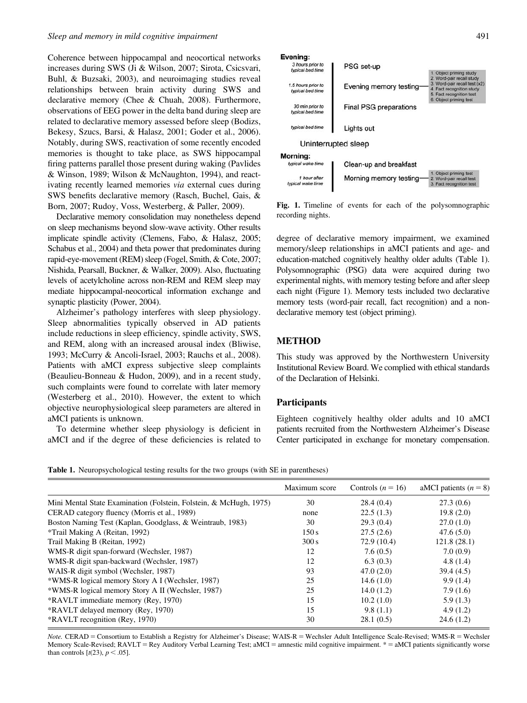Coherence between hippocampal and neocortical networks increases during SWS (Ji & Wilson, 2007; Sirota, Csicsvari, Buhl, & Buzsaki, 2003), and neuroimaging studies reveal relationships between brain activity during SWS and declarative memory (Chee & Chuah, 2008). Furthermore, observations of EEG power in the delta band during sleep are related to declarative memory assessed before sleep (Bodizs, Bekesy, Szucs, Barsi, & Halasz, 2001; Goder et al., 2006). Notably, during SWS, reactivation of some recently encoded memories is thought to take place, as SWS hippocampal firing patterns parallel those present during waking (Pavlides & Winson, 1989; Wilson & McNaughton, 1994), and reactivating recently learned memories via external cues during SWS benefits declarative memory (Rasch, Buchel, Gais, & Born, 2007; Rudoy, Voss, Westerberg, & Paller, 2009).

Declarative memory consolidation may nonetheless depend on sleep mechanisms beyond slow-wave activity. Other results implicate spindle activity (Clemens, Fabo, & Halasz, 2005; Schabus et al., 2004) and theta power that predominates during rapid-eye-movement (REM) sleep (Fogel, Smith, & Cote, 2007; Nishida, Pearsall, Buckner, & Walker, 2009). Also, fluctuating levels of acetylcholine across non-REM and REM sleep may mediate hippocampal-neocortical information exchange and synaptic plasticity (Power, 2004).

Alzheimer's pathology interferes with sleep physiology. Sleep abnormalities typically observed in AD patients include reductions in sleep efficiency, spindle activity, SWS, and REM, along with an increased arousal index (Bliwise, 1993; McCurry & Ancoli-Israel, 2003; Rauchs et al., 2008). Patients with aMCI express subjective sleep complaints (Beaulieu-Bonneau & Hudon, 2009), and in a recent study, such complaints were found to correlate with later memory (Westerberg et al., 2010). However, the extent to which objective neurophysiological sleep parameters are altered in aMCI patients is unknown.

To determine whether sleep physiology is deficient in aMCI and if the degree of these deficiencies is related to

| ------                                                     |                               |                                                                                                                                                                          |
|------------------------------------------------------------|-------------------------------|--------------------------------------------------------------------------------------------------------------------------------------------------------------------------|
| 3 hours prior to                                           | PSG set-up                    |                                                                                                                                                                          |
| typical bed time<br>1.5 hours prior to<br>typical bed time | Evening memory testing-       | 1. Object priming study<br>2. Word-pair recall study<br>3. Word-pair recall test (x2)<br>4. Fact recognition study<br>5. Fact recognition test<br>6. Object priming test |
| 30 min prior to<br>typical bed time                        | <b>Final PSG preparations</b> |                                                                                                                                                                          |
| typical bed time                                           | Lights out                    |                                                                                                                                                                          |
|                                                            | Uninterrupted sleep           |                                                                                                                                                                          |
| <b>Morning:</b>                                            |                               |                                                                                                                                                                          |
| typical wake time                                          | Clean-up and breakfast        |                                                                                                                                                                          |
|                                                            |                               | Ohject priming test                                                                                                                                                      |

Fig. 1. Timeline of events for each of the polysomnographic recording nights.

Morning memory testing

degree of declarative memory impairment, we examined memory/sleep relationships in aMCI patients and age- and education-matched cognitively healthy older adults (Table 1). Polysomnographic (PSG) data were acquired during two experimental nights, with memory testing before and after sleep each night (Figure 1). Memory tests included two declarative memory tests (word-pair recall, fact recognition) and a nondeclarative memory test (object priming).

## METHOD

Evening

1 hour

typical wake time

This study was approved by the Northwestern University Institutional Review Board. We complied with ethical standards of the Declaration of Helsinki.

## Participants

Eighteen cognitively healthy older adults and 10 aMCI patients recruited from the Northwestern Alzheimer's Disease Center participated in exchange for monetary compensation.

Table 1. Neuropsychological testing results for the two groups (with SE in parentheses)

|                                                                    | Maximum score | Controls $(n = 16)$ | aMCI patients $(n = 8)$ |
|--------------------------------------------------------------------|---------------|---------------------|-------------------------|
| Mini Mental State Examination (Folstein, Folstein, & McHugh, 1975) | 30            | 28.4(0.4)           | 27.3(0.6)               |
| CERAD category fluency (Morris et al., 1989)                       | none          | 22.5(1.3)           | 19.8(2.0)               |
| Boston Naming Test (Kaplan, Goodglass, & Weintraub, 1983)          | 30            | 29.3(0.4)           | 27.0(1.0)               |
| *Trail Making A (Reitan, 1992)                                     | 150s          | 27.5(2.6)           | 47.6(5.0)               |
| Trail Making B (Reitan, 1992)                                      | 300 s         | 72.9(10.4)          | 121.8(28.1)             |
| WMS-R digit span-forward (Wechsler, 1987)                          | 12            | 7.6(0.5)            | 7.0(0.9)                |
| WMS-R digit span-backward (Wechsler, 1987)                         | 12            | 6.3(0.3)            | 4.8(1.4)                |
| WAIS-R digit symbol (Wechsler, 1987)                               | 93            | 47.0(2.0)           | 39.4(4.5)               |
| *WMS-R logical memory Story A I (Wechsler, 1987)                   | 25            | 14.6(1.0)           | 9.9(1.4)                |
| *WMS-R logical memory Story A II (Wechsler, 1987)                  | 25            | 14.0(1.2)           | 7.9(1.6)                |
| *RAVLT immediate memory (Rey, 1970)                                | 15            | 10.2(1.0)           | 5.9(1.3)                |
| *RAVLT delayed memory (Rey, 1970)                                  | 15            | 9.8(1.1)            | 4.9(1.2)                |
| *RAVLT recognition (Rey, 1970)                                     | 30            | 28.1(0.5)           | 24.6(1.2)               |

 $Note. CERAD = Consortium$  to Establish a Registry for Alzheimer's Disease; WAIS-R = Wechsler Adult Intelligence Scale-Revised; WMS-R = Wechsler Memory Scale-Revised; RAVLT = Rey Auditory Verbal Learning Test; aMCI = amnestic mild cognitive impairment.  $* = aMCI$  patients significantly worse than controls  $[t(23), p < .05]$ .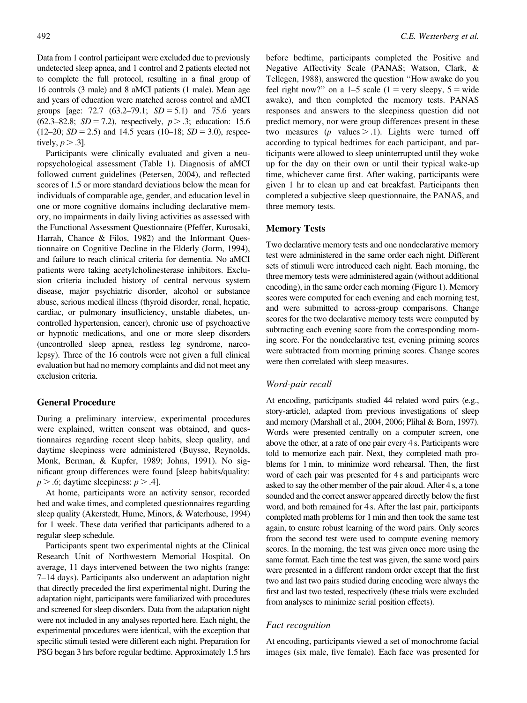Data from 1 control participant were excluded due to previously undetected sleep apnea, and 1 control and 2 patients elected not to complete the full protocol, resulting in a final group of 16 controls (3 male) and 8 aMCI patients (1 male). Mean age and years of education were matched across control and aMCI groups [age: 72.7  $(63.2–79.1; SD = 5.1)$  and 75.6 years  $(62.3-82.8; SD = 7.2)$ , respectively,  $p > .3$ ; education: 15.6  $(12–20; SD = 2.5)$  and 14.5 years  $(10–18; SD = 3.0)$ , respectively,  $p > .3$ ].

Participants were clinically evaluated and given a neuropsychological assessment (Table 1). Diagnosis of aMCI followed current guidelines (Petersen, 2004), and reflected scores of 1.5 or more standard deviations below the mean for individuals of comparable age, gender, and education level in one or more cognitive domains including declarative memory, no impairments in daily living activities as assessed with the Functional Assessment Questionnaire (Pfeffer, Kurosaki, Harrah, Chance & Filos, 1982) and the Informant Questionnaire on Cognitive Decline in the Elderly (Jorm, 1994), and failure to reach clinical criteria for dementia. No aMCI patients were taking acetylcholinesterase inhibitors. Exclusion criteria included history of central nervous system disease, major psychiatric disorder, alcohol or substance abuse, serious medical illness (thyroid disorder, renal, hepatic, cardiac, or pulmonary insufficiency, unstable diabetes, uncontrolled hypertension, cancer), chronic use of psychoactive or hypnotic medications, and one or more sleep disorders (uncontrolled sleep apnea, restless leg syndrome, narcolepsy). Three of the 16 controls were not given a full clinical evaluation but had no memory complaints and did not meet any exclusion criteria.

## General Procedure

During a preliminary interview, experimental procedures were explained, written consent was obtained, and questionnaires regarding recent sleep habits, sleep quality, and daytime sleepiness were administered (Buysse, Reynolds, Monk, Berman, & Kupfer, 1989; Johns, 1991). No significant group differences were found [sleep habits/quality:  $p > .6$ ; daytime sleepiness:  $p > .4$ ].

At home, participants wore an activity sensor, recorded bed and wake times, and completed questionnaires regarding sleep quality (Akerstedt, Hume, Minors, & Waterhouse, 1994) for 1 week. These data verified that participants adhered to a regular sleep schedule.

Participants spent two experimental nights at the Clinical Research Unit of Northwestern Memorial Hospital. On average, 11 days intervened between the two nights (range: 7–14 days). Participants also underwent an adaptation night that directly preceded the first experimental night. During the adaptation night, participants were familiarized with procedures and screened for sleep disorders. Data from the adaptation night were not included in any analyses reported here. Each night, the experimental procedures were identical, with the exception that specific stimuli tested were different each night. Preparation for PSG began 3 hrs before regular bedtime. Approximately 1.5 hrs before bedtime, participants completed the Positive and Negative Affectivity Scale (PANAS; Watson, Clark, & Tellegen, 1988), answered the question ''How awake do you feel right now?" on a 1–5 scale (1 = very sleepy,  $5 =$  wide awake), and then completed the memory tests. PANAS responses and answers to the sleepiness question did not predict memory, nor were group differences present in these two measures ( $p$  values > .1). Lights were turned off according to typical bedtimes for each participant, and participants were allowed to sleep uninterrupted until they woke up for the day on their own or until their typical wake-up time, whichever came first. After waking, participants were given 1 hr to clean up and eat breakfast. Participants then completed a subjective sleep questionnaire, the PANAS, and three memory tests.

## Memory Tests

Two declarative memory tests and one nondeclarative memory test were administered in the same order each night. Different sets of stimuli were introduced each night. Each morning, the three memory tests were administered again (without additional encoding), in the same order each morning (Figure 1). Memory scores were computed for each evening and each morning test, and were submitted to across-group comparisons. Change scores for the two declarative memory tests were computed by subtracting each evening score from the corresponding morning score. For the nondeclarative test, evening priming scores were subtracted from morning priming scores. Change scores were then correlated with sleep measures.

## Word-pair recall

At encoding, participants studied 44 related word pairs (e.g., story-article), adapted from previous investigations of sleep and memory (Marshall et al., 2004, 2006; Plihal & Born, 1997). Words were presented centrally on a computer screen, one above the other, at a rate of one pair every 4 s. Participants were told to memorize each pair. Next, they completed math problems for 1 min, to minimize word rehearsal. Then, the first word of each pair was presented for 4 s and participants were asked to say the other member of the pair aloud. After 4 s, a tone sounded and the correct answer appeared directly below the first word, and both remained for 4 s. After the last pair, participants completed math problems for 1 min and then took the same test again, to ensure robust learning of the word pairs. Only scores from the second test were used to compute evening memory scores. In the morning, the test was given once more using the same format. Each time the test was given, the same word pairs were presented in a different random order except that the first two and last two pairs studied during encoding were always the first and last two tested, respectively (these trials were excluded from analyses to minimize serial position effects).

## Fact recognition

At encoding, participants viewed a set of monochrome facial images (six male, five female). Each face was presented for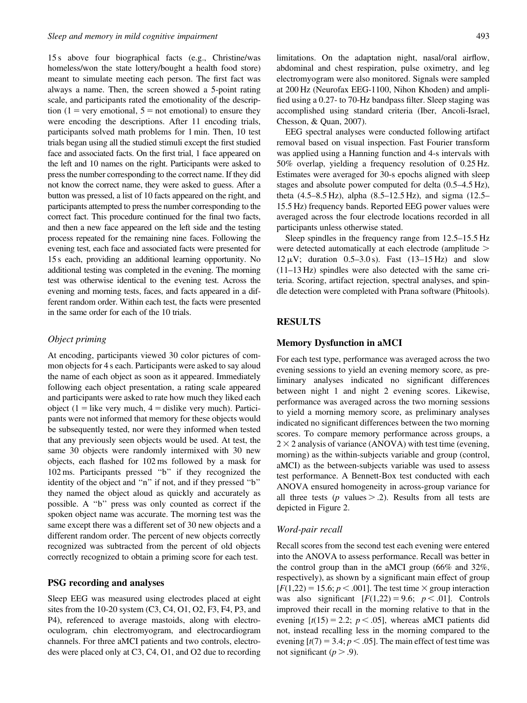15 s above four biographical facts (e.g., Christine/was homeless/won the state lottery/bought a health food store) meant to simulate meeting each person. The first fact was always a name. Then, the screen showed a 5-point rating scale, and participants rated the emotionality of the description (1 = very emotional,  $5 =$  not emotional) to ensure they were encoding the descriptions. After 11 encoding trials, participants solved math problems for 1 min. Then, 10 test trials began using all the studied stimuli except the first studied face and associated facts. On the first trial, 1 face appeared on the left and 10 names on the right. Participants were asked to press the number corresponding to the correct name. If they did not know the correct name, they were asked to guess. After a button was pressed, a list of 10 facts appeared on the right, and participants attempted to press the number corresponding to the correct fact. This procedure continued for the final two facts, and then a new face appeared on the left side and the testing process repeated for the remaining nine faces. Following the evening test, each face and associated facts were presented for 15 s each, providing an additional learning opportunity. No additional testing was completed in the evening. The morning test was otherwise identical to the evening test. Across the evening and morning tests, faces, and facts appeared in a different random order. Within each test, the facts were presented in the same order for each of the 10 trials.

#### Object priming

At encoding, participants viewed 30 color pictures of common objects for 4 s each. Participants were asked to say aloud the name of each object as soon as it appeared. Immediately following each object presentation, a rating scale appeared and participants were asked to rate how much they liked each object (1 = like very much,  $4$  = dislike very much). Participants were not informed that memory for these objects would be subsequently tested, nor were they informed when tested that any previously seen objects would be used. At test, the same 30 objects were randomly intermixed with 30 new objects, each flashed for 102 ms followed by a mask for 102 ms. Participants pressed ''b'' if they recognized the identity of the object and ''n'' if not, and if they pressed ''b'' they named the object aloud as quickly and accurately as possible. A ''b'' press was only counted as correct if the spoken object name was accurate. The morning test was the same except there was a different set of 30 new objects and a different random order. The percent of new objects correctly recognized was subtracted from the percent of old objects correctly recognized to obtain a priming score for each test.

## PSG recording and analyses

Sleep EEG was measured using electrodes placed at eight sites from the 10-20 system (C3, C4, O1, O2, F3, F4, P3, and P4), referenced to average mastoids, along with electrooculogram, chin electromyogram, and electrocardiogram channels. For three aMCI patients and two controls, electrodes were placed only at C3, C4, O1, and O2 due to recording

limitations. On the adaptation night, nasal/oral airflow, abdominal and chest respiration, pulse oximetry, and leg electromyogram were also monitored. Signals were sampled at 200 Hz (Neurofax EEG-1100, Nihon Khoden) and amplified using a 0.27- to 70-Hz bandpass filter. Sleep staging was accomplished using standard criteria (Iber, Ancoli-Israel, Chesson, & Quan, 2007).

EEG spectral analyses were conducted following artifact removal based on visual inspection. Fast Fourier transform was applied using a Hanning function and 4-s intervals with 50% overlap, yielding a frequency resolution of 0.25 Hz. Estimates were averaged for 30-s epochs aligned with sleep stages and absolute power computed for delta (0.5–4.5 Hz), theta (4.5–8.5 Hz), alpha (8.5–12.5 Hz), and sigma (12.5– 15.5 Hz) frequency bands. Reported EEG power values were averaged across the four electrode locations recorded in all participants unless otherwise stated.

Sleep spindles in the frequency range from 12.5–15.5 Hz were detected automatically at each electrode (amplitude >  $12 \mu V$ ; duration 0.5–3.0 s). Fast  $(13–15 \text{ Hz})$  and slow (11–13 Hz) spindles were also detected with the same criteria. Scoring, artifact rejection, spectral analyses, and spindle detection were completed with Prana software (Phitools).

# RESULTS

## Memory Dysfunction in aMCI

For each test type, performance was averaged across the two evening sessions to yield an evening memory score, as preliminary analyses indicated no significant differences between night 1 and night 2 evening scores. Likewise, performance was averaged across the two morning sessions to yield a morning memory score, as preliminary analyses indicated no significant differences between the two morning scores. To compare memory performance across groups, a  $2 \times 2$  analysis of variance (ANOVA) with test time (evening, morning) as the within-subjects variable and group (control, aMCI) as the between-subjects variable was used to assess test performance. A Bennett-Box test conducted with each ANOVA ensured homogeneity in across-group variance for all three tests (p values  $> .2$ ). Results from all tests are depicted in Figure 2.

# Word-pair recall

Recall scores from the second test each evening were entered into the ANOVA to assess performance. Recall was better in the control group than in the aMCI group (66% and 32%, respectively), as shown by a significant main effect of group  $[F(1,22) = 15.6; p < .001]$ . The test time  $\times$  group interaction was also significant  $[F(1,22) = 9.6; p < .01]$ . Controls improved their recall in the morning relative to that in the evening  $[t(15) = 2.2; p < .05]$ , whereas aMCI patients did not, instead recalling less in the morning compared to the evening  $[t(7) = 3.4; p < .05]$ . The main effect of test time was not significant ( $p > .9$ ).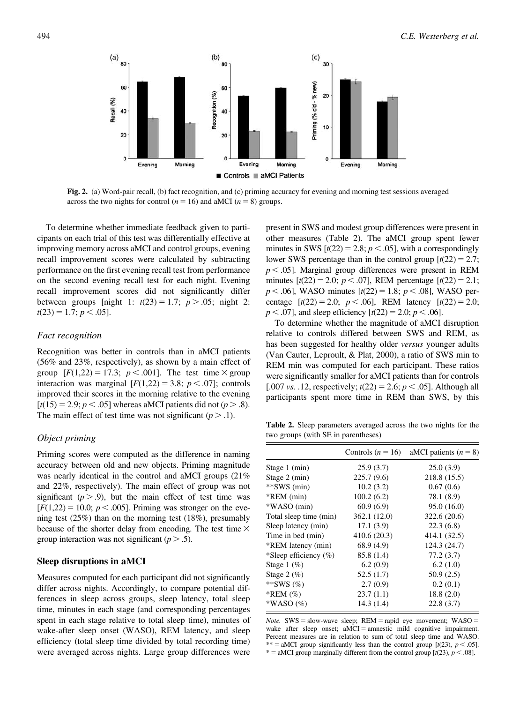

Fig. 2. (a) Word-pair recall, (b) fact recognition, and (c) priming accuracy for evening and morning test sessions averaged across the two nights for control ( $n = 16$ ) and aMCI ( $n = 8$ ) groups.

To determine whether immediate feedback given to participants on each trial of this test was differentially effective at improving memory across aMCI and control groups, evening recall improvement scores were calculated by subtracting performance on the first evening recall test from performance on the second evening recall test for each night. Evening recall improvement scores did not significantly differ between groups [night 1:  $t(23) = 1.7$ ;  $p > .05$ ; night 2:  $t(23) = 1.7; p < .05$ ].

# Fact recognition

Recognition was better in controls than in aMCI patients (56% and 23%, respectively), as shown by a main effect of group  $[F(1,22) = 17.3; p < .001]$ . The test time  $\times$  group interaction was marginal  $[F(1,22) = 3.8; p < .07]$ ; controls improved their scores in the morning relative to the evening  $[t(15) = 2.9; p < .05]$  whereas aMCI patients did not  $(p > .8)$ . The main effect of test time was not significant ( $p > .1$ ).

# Object priming

Priming scores were computed as the difference in naming accuracy between old and new objects. Priming magnitude was nearly identical in the control and aMCI groups (21% and 22%, respectively). The main effect of group was not significant ( $p > .9$ ), but the main effect of test time was  $[F(1,22) = 10.0; p < .005]$ . Priming was stronger on the evening test (25%) than on the morning test (18%), presumably because of the shorter delay from encoding. The test time  $\times$ group interaction was not significant  $(p > .5)$ .

## Sleep disruptions in aMCI

Measures computed for each participant did not significantly differ across nights. Accordingly, to compare potential differences in sleep across groups, sleep latency, total sleep time, minutes in each stage (and corresponding percentages spent in each stage relative to total sleep time), minutes of wake-after sleep onset (WASO), REM latency, and sleep efficiency (total sleep time divided by total recording time) were averaged across nights. Large group differences were

present in SWS and modest group differences were present in other measures (Table 2). The aMCI group spent fewer minutes in SWS  $[t(22) = 2.8; p < .05]$ , with a correspondingly lower SWS percentage than in the control group  $[t(22) = 2.7;$  $p < .05$ ]. Marginal group differences were present in REM minutes  $[t(22) = 2.0; p < .07]$ , REM percentage  $[t(22) = 2.1;$  $p < .06$ ], WASO minutes  $[t(22) = 1.8; p < .08]$ , WASO percentage  $[t(22) = 2.0; p < .06]$ , REM latency  $[t(22) = 2.0;$  $p < .07$ ], and sleep efficiency  $[t(22) = 2.0; p < .06]$ .

To determine whether the magnitude of aMCI disruption relative to controls differed between SWS and REM, as has been suggested for healthy older versus younger adults (Van Cauter, Leproult, & Plat, 2000), a ratio of SWS min to REM min was computed for each participant. These ratios were significantly smaller for aMCI patients than for controls [.007 *vs.* .12, respectively;  $t(22) = 2.6$ ;  $p < .05$ ]. Although all participants spent more time in REM than SWS, by this

Table 2. Sleep parameters averaged across the two nights for the two groups (with SE in parentheses)

|                          | Controls $(n = 16)$ | aMCI patients $(n = 8)$ |
|--------------------------|---------------------|-------------------------|
| Stage 1 (min)            | 25.9(3.7)           | 25.0(3.9)               |
| Stage 2 (min)            | 225.7(9.6)          | 218.8 (15.5)            |
| **SWS (min)              | 10.2(3.2)           | 0.67(0.6)               |
| *REM (min)               | 100.2(6.2)          | 78.1 (8.9)              |
| *WASO (min)              | 60.9(6.9)           | 95.0 (16.0)             |
| Total sleep time (min)   | 362.1(12.0)         | 322.6 (20.6)            |
| Sleep latency (min)      | 17.1(3.9)           | 22.3(6.8)               |
| Time in bed (min)        | 410.6(20.3)         | 414.1 (32.5)            |
| *REM latency (min)       | 68.9(4.9)           | 124.3 (24.7)            |
| *Sleep efficiency $(\%)$ | 85.8 (1.4)          | 77.2(3.7)               |
| Stage $1 \ (\%)$         | 6.2(0.9)            | 6.2(1.0)                |
| Stage $2 \ (\%)$         | 52.5(1.7)           | 50.9(2.5)               |
| **SWS $(\%)$             | 2.7(0.9)            | 0.2(0.1)                |
| $*REM (\%)$              | 23.7(1.1)           | 18.8(2.0)               |
| $*WASO(%)$               | 14.3(1.4)           | 22.8(3.7)               |

*Note.* SWS = slow-wave sleep;  $REM = rapid$  eye movement;  $WASO =$ wake after sleep onset; aMCI = amnestic mild cognitive impairment. Percent measures are in relation to sum of total sleep time and WASO. \*\* = aMCI group significantly less than the control group  $[t(23), p < .05]$ . \* = aMCI group marginally different from the control group  $[t(23), p < .08]$ .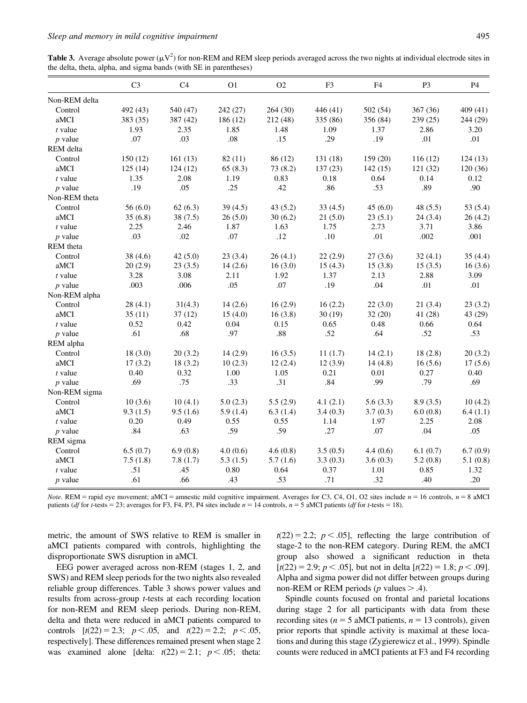| <b>Table 3.</b> Average absolute power ( $\mu$ V <sup>2</sup> ) for non-REM and REM sleep periods averaged across the two nights at individual electrode sites in |
|-------------------------------------------------------------------------------------------------------------------------------------------------------------------|
| the delta, theta, alpha, and sigma bands (with SE in parentheses)                                                                                                 |

|               | C <sub>3</sub> | C <sub>4</sub> | O <sub>1</sub> | O2         | F <sub>3</sub> | F4       | P <sub>3</sub> | P4       |
|---------------|----------------|----------------|----------------|------------|----------------|----------|----------------|----------|
| Non-REM delta |                |                |                |            |                |          |                |          |
| Control       | 492 (43)       | 540 (47)       | 242(27)        | 264(30)    | 446(41)        | 502 (54) | 367 (36)       | 409(41)  |
| aMCI          | 383 (35)       | 387 (42)       | 186(12)        | 212 (48)   | 335 (86)       | 356 (84) | 239(25)        | 244 (29) |
| $t$ value     | 1.93           | 2.35           | 1.85           | 1.48       | 1.09           | 1.37     | 2.86           | 3.20     |
| $p$ value     | .07            | .03            | $.08\,$        | .15        | .29            | .19      | .01            | .01      |
| REM delta     |                |                |                |            |                |          |                |          |
| Control       | 150(12)        | 161(13)        | 82(11)         | 86 (12)    | 131(18)        | 159 (20) | 116(12)        | 124(13)  |
| aMCI          | 125(14)        | 124(12)        | 65(8.3)        | 73(8.2)    | 137(23)        | 142(15)  | 121(32)        | 120(36)  |
| $t$ value     | 1.35           | 2.08           | 1.19           | 0.83       | 0.18           | 0.64     | 0.14           | 0.12     |
| $p$ value     | .19            | .05            | .25            | .42        | .86            | .53      | .89            | .90      |
| Non-REM theta |                |                |                |            |                |          |                |          |
| Control       | 56 $(6.0)$     | 62(6.3)        | 39(4.5)        | 43 $(5.2)$ | 33(4.5)        | 45(6.0)  | 48 $(5.5)$     | 53 (5.4) |
| aMCI          | 35(6.8)        | 38(7.5)        | 26(5.0)        | 30(6.2)    | 21(5.0)        | 23(5.1)  | 24(3.4)        | 26(4.2)  |
| $t$ value     | 2.25           | 2.46           | 1.87           | 1.63       | 1.75           | 2.73     | 3.71           | 3.86     |
| $p$ value     | .03            | .02            | .07            | .12        | .10            | .01      | .002           | .001     |
| REM theta     |                |                |                |            |                |          |                |          |
| Control       | 38(4.6)        | 42(5.0)        | 23(3.4)        | 26(4.1)    | 22(2.9)        | 27(3.6)  | 32(4.1)        | 35(4.4)  |
| aMCI          | 20(2.9)        | 23(3.5)        | 14(2.6)        | 16(3.0)    | 15(4.3)        | 15(3.8)  | 15(3.5)        | 16(3.6)  |
| $t$ value     | 3.28           | 3.08           | 2.11           | 1.92       | 1.37           | 2.13     | 2.88           | 3.09     |
| $p$ value     | .003           | .006           | .05            | .07        | .19            | .04      | .01            | .01      |
| Non-REM alpha |                |                |                |            |                |          |                |          |
| Control       | 28(4.1)        | 31(4.3)        | 14(2.6)        | 16(2.9)    | 16(2.2)        | 22(3.0)  | 21(3.4)        | 23(3.2)  |
| aMCI          | 35(11)         | 37(12)         | 15(4.0)        | 16(3.8)    | 30(19)         | 32(20)   | 41(28)         | 43 (29)  |
| $t$ value     | 0.52           | 0.42           | 0.04           | 0.15       | 0.65           | 0.48     | 0.66           | 0.64     |
| $p$ value     | .61            | .68            | .97            | .88        | .52            | .64      | .52            | .53      |
| REM alpha     |                |                |                |            |                |          |                |          |
| Control       | 18(3.0)        | 20(3.2)        | 14(2.9)        | 16(3.5)    | 11(1.7)        | 14(2.1)  | 18(2.8)        | 20(3.2)  |
| aMCI          | 17(3.2)        | 18(3.2)        | 10(2.3)        | 12(2.4)    | 12(3.9)        | 14(4.8)  | 16(5.6)        | 17(5.6)  |
| $t$ value     | 0.40           | 0.32           | 1.00           | 1.05       | 0.21           | 0.01     | 0.27           | 0.40     |
| $p$ value     | .69            | .75            | .33            | .31        | .84            | .99      | .79            | .69      |
| Non-REM sigma |                |                |                |            |                |          |                |          |
| Control       | 10(3.6)        | 10(4.1)        | 5.0(2.3)       | 5.5(2.9)   | 4.1(2.1)       | 5.6(3.3) | 8.9(3.5)       | 10(4.2)  |
| aMCI          | 9.3(1.5)       | 9.5(1.6)       | 5.9(1.4)       | 6.3(1.4)   | 3.4(0.3)       | 3.7(0.3) | 6.0(0.8)       | 6.4(1.1) |
| $t$ value     | 0.20           | 0.49           | 0.55           | 0.55       | 1.14           | 1.97     | 2.25           | 2.08     |
| $p$ value     | .84            | .63            | .59            | .59        | .27            | .07      | .04            | .05      |
| REM sigma     |                |                |                |            |                |          |                |          |
| Control       | 6.5(0.7)       | 6.9(0.8)       | 4.0(0.6)       | 4.6(0.8)   | 3.5(0.5)       | 4.4(0.6) | 6.1(0.7)       | 6.7(0.9) |
| aMCI          | 7.5(1.8)       | 7.8(1.7)       | 5.3(1.5)       | 5.7(1.6)   | 3.3(0.3)       | 3.6(0.3) | 5.2(0.8)       | 5.1(0.8) |
| $t$ value     | .51            | .45            | 0.80           | 0.64       | 0.37           | 1.01     | 0.85           | 1.32     |
| $p$ value     | .61            | .66            | .43            | .53        | .71            | .32      | .40            | .20      |

*Note.* REM = rapid eye movement; aMCI = amnestic mild cognitive impairment. Averages for C3, C4, O1, O2 sites include  $n = 16$  controls,  $n = 8$  aMCI patients (df for t-tests = 23; averages for F3, F4, P3, P4 sites include  $n = 14$  controls,  $n = 5$  aMCI patients (df for t-tests = 18).

metric, the amount of SWS relative to REM is smaller in aMCI patients compared with controls, highlighting the disproportionate SWS disruption in aMCI.

EEG power averaged across non-REM (stages 1, 2, and SWS) and REM sleep periods for the two nights also revealed reliable group differences. Table 3 shows power values and results from across-group t-tests at each recording location for non-REM and REM sleep periods. During non-REM, delta and theta were reduced in aMCI patients compared to controls  $[t(22) = 2.3; p < .05, \text{ and } t(22) = 2.2; p < .05,$ respectively]. These differences remained present when stage 2 was examined alone [delta:  $t(22) = 2.1$ ;  $p < .05$ ; theta:

 $t(22) = 2.2$ ;  $p < .05$ ], reflecting the large contribution of stage-2 to the non-REM category. During REM, the aMCI group also showed a significant reduction in theta  $[t(22) = 2.9; p < .05]$ , but not in delta  $[t(22) = 1.8; p < .09]$ . Alpha and sigma power did not differ between groups during non-REM or REM periods ( $p$  values  $> .4$ ).

Spindle counts focused on frontal and parietal locations during stage 2 for all participants with data from these recording sites ( $n = 5$  aMCI patients,  $n = 13$  controls), given prior reports that spindle activity is maximal at these locations and during this stage (Zygierewicz et al., 1999). Spindle counts were reduced in aMCI patients at F3 and F4 recording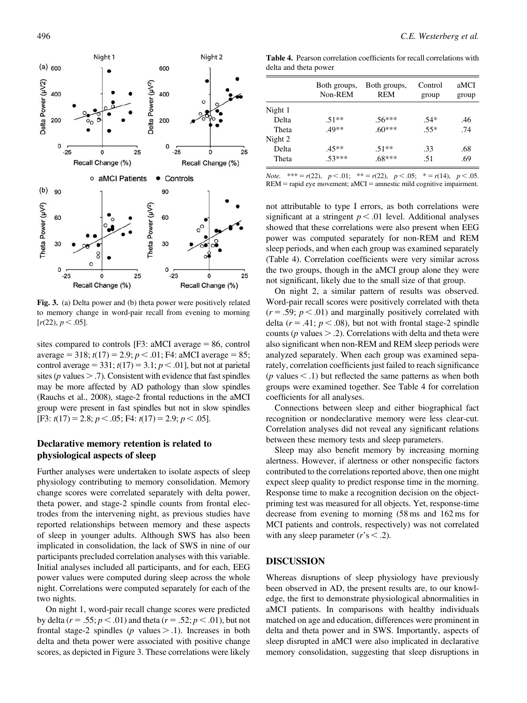

Fig. 3. (a) Delta power and (b) theta power were positively related to memory change in word-pair recall from evening to morning  $[r(22), p < .05]$ .

sites compared to controls [F3: aMCI average  $= 86$ , control average = 318;  $t(17) = 2.9$ ;  $p < .01$ ; F4: aMCI average = 85; control average = 331;  $t(17) = 3.1$ ;  $p < .01$ ], but not at parietal sites ( $p$  values  $> .7$ ). Consistent with evidence that fast spindles may be more affected by AD pathology than slow spindles (Rauchs et al., 2008), stage-2 frontal reductions in the aMCI group were present in fast spindles but not in slow spindles [F3:  $t(17) = 2.8$ ;  $p < .05$ ; F4:  $t(17) = 2.9$ ;  $p < .05$ ].

# Declarative memory retention is related to physiological aspects of sleep

Further analyses were undertaken to isolate aspects of sleep physiology contributing to memory consolidation. Memory change scores were correlated separately with delta power, theta power, and stage-2 spindle counts from frontal electrodes from the intervening night, as previous studies have reported relationships between memory and these aspects of sleep in younger adults. Although SWS has also been implicated in consolidation, the lack of SWS in nine of our participants precluded correlation analyses with this variable. Initial analyses included all participants, and for each, EEG power values were computed during sleep across the whole night. Correlations were computed separately for each of the two nights.

On night 1, word-pair recall change scores were predicted by delta ( $r = .55$ ;  $p < .01$ ) and theta ( $r = .52$ ;  $p < .01$ ), but not frontal stage-2 spindles (*p* values  $>$  .1). Increases in both delta and theta power were associated with positive change scores, as depicted in Figure 3. These correlations were likely

Table 4. Pearson correlation coefficients for recall correlations with delta and theta power

|         | Both groups,<br>Non-REM | Both groups,<br><b>REM</b> | Control<br>group | aMCI<br>group |
|---------|-------------------------|----------------------------|------------------|---------------|
| Night 1 |                         |                            |                  |               |
| Delta   | $.51**$                 | $.56***$                   | $.54*$           | .46           |
| Theta   | $.49**$                 | $.60***$                   | $.55*$           | .74           |
| Night 2 |                         |                            |                  |               |
| Delta   | $.45**$                 | $.51**$                    | .33              | .68           |
| Theta   | $.53***$                | $.68***$                   | .51              | .69           |

Note. \*\*\* =  $r(22)$ ,  $p < .01$ ; \*\* =  $r(22)$ ,  $p < .05$ ; \* =  $r(14)$ ,  $p < .05$ . REM = rapid eye movement; aMCI = amnestic mild cognitive impairment.

not attributable to type I errors, as both correlations were significant at a stringent  $p < .01$  level. Additional analyses showed that these correlations were also present when EEG power was computed separately for non-REM and REM sleep periods, and when each group was examined separately (Table 4). Correlation coefficients were very similar across the two groups, though in the aMCI group alone they were not significant, likely due to the small size of that group.

On night 2, a similar pattern of results was observed. Word-pair recall scores were positively correlated with theta  $(r = .59; p < .01)$  and marginally positively correlated with delta ( $r = .41$ ;  $p < .08$ ), but not with frontal stage-2 spindle counts ( $p$  values  $> .2$ ). Correlations with delta and theta were also significant when non-REM and REM sleep periods were analyzed separately. When each group was examined separately, correlation coefficients just failed to reach significance ( $p$  values  $\lt$  .1) but reflected the same patterns as when both groups were examined together. See Table 4 for correlation coefficients for all analyses.

Connections between sleep and either biographical fact recognition or nondeclarative memory were less clear-cut. Correlation analyses did not reveal any significant relations between these memory tests and sleep parameters.

Sleep may also benefit memory by increasing morning alertness. However, if alertness or other nonspecific factors contributed to the correlations reported above, then one might expect sleep quality to predict response time in the morning. Response time to make a recognition decision on the objectpriming test was measured for all objects. Yet, response-time decrease from evening to morning (58 ms and 162 ms for MCI patients and controls, respectively) was not correlated with any sleep parameter  $(r's < .2)$ .

# DISCUSSION

Whereas disruptions of sleep physiology have previously been observed in AD, the present results are, to our knowledge, the first to demonstrate physiological abnormalities in aMCI patients. In comparisons with healthy individuals matched on age and education, differences were prominent in delta and theta power and in SWS. Importantly, aspects of sleep disrupted in aMCI were also implicated in declarative memory consolidation, suggesting that sleep disruptions in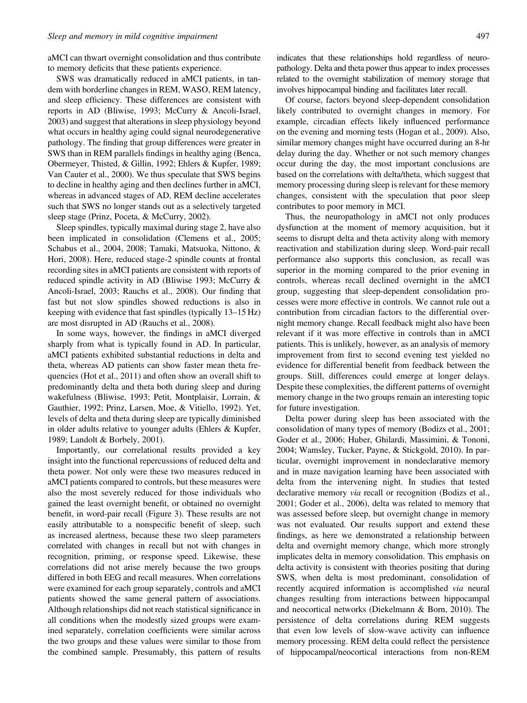aMCI can thwart overnight consolidation and thus contribute to memory deficits that these patients experience.

SWS was dramatically reduced in aMCI patients, in tandem with borderline changes in REM, WASO, REM latency, and sleep efficiency. These differences are consistent with reports in AD (Bliwise, 1993; McCurry & Ancoli-Israel, 2003) and suggest that alterations in sleep physiology beyond what occurs in healthy aging could signal neurodegenerative pathology. The finding that group differences were greater in SWS than in REM parallels findings in healthy aging (Benca, Obermeyer, Thisted, & Gillin, 1992; Ehlers & Kupfer, 1989; Van Cauter et al., 2000). We thus speculate that SWS begins to decline in healthy aging and then declines further in aMCI, whereas in advanced stages of AD, REM decline accelerates such that SWS no longer stands out as a selectively targeted sleep stage (Prinz, Poceta, & McCurry, 2002).

Sleep spindles, typically maximal during stage 2, have also been implicated in consolidation (Clemens et al., 2005; Schabus et al., 2004, 2008; Tamaki, Matsuoka, Nittono, & Hori, 2008). Here, reduced stage-2 spindle counts at frontal recording sites in aMCI patients are consistent with reports of reduced spindle activity in AD (Bliwise 1993; McCurry & Ancoli-Israel, 2003; Rauchs et al., 2008). Our finding that fast but not slow spindles showed reductions is also in keeping with evidence that fast spindles (typically 13–15 Hz) are most disrupted in AD (Rauchs et al., 2008).

In some ways, however, the findings in aMCI diverged sharply from what is typically found in AD. In particular, aMCI patients exhibited substantial reductions in delta and theta, whereas AD patients can show faster mean theta frequencies (Hot et al., 2011) and often show an overall shift to predominantly delta and theta both during sleep and during wakefulness (Bliwise, 1993; Petit, Montplaisir, Lorrain, & Gauthier, 1992; Prinz, Larsen, Moe, & Vitiello, 1992). Yet, levels of delta and theta during sleep are typically diminished in older adults relative to younger adults (Ehlers & Kupfer, 1989; Landolt & Borbely, 2001).

Importantly, our correlational results provided a key insight into the functional repercussions of reduced delta and theta power. Not only were these two measures reduced in aMCI patients compared to controls, but these measures were also the most severely reduced for those individuals who gained the least overnight benefit, or obtained no overnight benefit, in word-pair recall (Figure 3). These results are not easily attributable to a nonspecific benefit of sleep, such as increased alertness, because these two sleep parameters correlated with changes in recall but not with changes in recognition, priming, or response speed. Likewise, these correlations did not arise merely because the two groups differed in both EEG and recall measures. When correlations were examined for each group separately, controls and aMCI patients showed the same general pattern of associations. Although relationships did not reach statistical significance in all conditions when the modestly sized groups were examined separately, correlation coefficients were similar across the two groups and these values were similar to those from the combined sample. Presumably, this pattern of results indicates that these relationships hold regardless of neuropathology. Delta and theta power thus appear to index processes related to the overnight stabilization of memory storage that involves hippocampal binding and facilitates later recall.

Of course, factors beyond sleep-dependent consolidation likely contributed to overnight changes in memory. For example, circadian effects likely influenced performance on the evening and morning tests (Hogan et al., 2009). Also, similar memory changes might have occurred during an 8-hr delay during the day. Whether or not such memory changes occur during the day, the most important conclusions are based on the correlations with delta/theta, which suggest that memory processing during sleep is relevant for these memory changes, consistent with the speculation that poor sleep contributes to poor memory in MCI.

Thus, the neuropathology in aMCI not only produces dysfunction at the moment of memory acquisition, but it seems to disrupt delta and theta activity along with memory reactivation and stabilization during sleep. Word-pair recall performance also supports this conclusion, as recall was superior in the morning compared to the prior evening in controls, whereas recall declined overnight in the aMCI group, suggesting that sleep-dependent consolidation processes were more effective in controls. We cannot rule out a contribution from circadian factors to the differential overnight memory change. Recall feedback might also have been relevant if it was more effective in controls than in aMCI patients. This is unlikely, however, as an analysis of memory improvement from first to second evening test yielded no evidence for differential benefit from feedback between the groups. Still, differences could emerge at longer delays. Despite these complexities, the different patterns of overnight memory change in the two groups remain an interesting topic for future investigation.

Delta power during sleep has been associated with the consolidation of many types of memory (Bodizs et al., 2001; Goder et al., 2006; Huber, Ghilardi, Massimini, & Tononi, 2004; Wamsley, Tucker, Payne, & Stickgold, 2010). In particular, overnight improvement in nondeclarative memory and in maze navigation learning have been associated with delta from the intervening night. In studies that tested declarative memory via recall or recognition (Bodizs et al., 2001; Goder et al., 2006), delta was related to memory that was assessed before sleep, but overnight change in memory was not evaluated. Our results support and extend these findings, as here we demonstrated a relationship between delta and overnight memory change, which more strongly implicates delta in memory consolidation. This emphasis on delta activity is consistent with theories positing that during SWS, when delta is most predominant, consolidation of recently acquired information is accomplished via neural changes resulting from interactions between hippocampal and neocortical networks (Diekelmann & Born, 2010). The persistence of delta correlations during REM suggests that even low levels of slow-wave activity can influence memory processing. REM delta could reflect the persistence of hippocampal/neocortical interactions from non-REM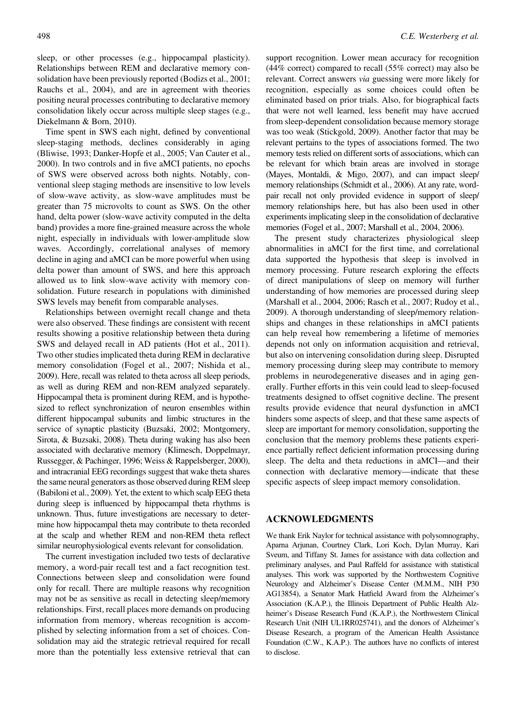sleep, or other processes (e.g., hippocampal plasticity). Relationships between REM and declarative memory consolidation have been previously reported (Bodizs et al., 2001; Rauchs et al., 2004), and are in agreement with theories positing neural processes contributing to declarative memory consolidation likely occur across multiple sleep stages (e.g., Diekelmann & Born, 2010).

Time spent in SWS each night, defined by conventional sleep-staging methods, declines considerably in aging (Bliwise, 1993; Danker-Hopfe et al., 2005; Van Cauter et al., 2000). In two controls and in five aMCI patients, no epochs of SWS were observed across both nights. Notably, conventional sleep staging methods are insensitive to low levels of slow-wave activity, as slow-wave amplitudes must be greater than 75 microvolts to count as SWS. On the other hand, delta power (slow-wave activity computed in the delta band) provides a more fine-grained measure across the whole night, especially in individuals with lower-amplitude slow waves. Accordingly, correlational analyses of memory decline in aging and aMCI can be more powerful when using delta power than amount of SWS, and here this approach allowed us to link slow-wave activity with memory consolidation. Future research in populations with diminished SWS levels may benefit from comparable analyses.

Relationships between overnight recall change and theta were also observed. These findings are consistent with recent results showing a positive relationship between theta during SWS and delayed recall in AD patients (Hot et al., 2011). Two other studies implicated theta during REM in declarative memory consolidation (Fogel et al., 2007; Nishida et al., 2009). Here, recall was related to theta across all sleep periods, as well as during REM and non-REM analyzed separately. Hippocampal theta is prominent during REM, and is hypothesized to reflect synchronization of neuron ensembles within different hippocampal subunits and limbic structures in the service of synaptic plasticity (Buzsaki, 2002; Montgomery, Sirota, & Buzsaki, 2008). Theta during waking has also been associated with declarative memory (Klimesch, Doppelmayr, Russegger, & Pachinger, 1996; Weiss & Rappelsberger, 2000), and intracranial EEG recordings suggest that wake theta shares the same neural generators as those observed during REM sleep (Babiloni et al., 2009). Yet, the extent to which scalp EEG theta during sleep is influenced by hippocampal theta rhythms is unknown. Thus, future investigations are necessary to determine how hippocampal theta may contribute to theta recorded at the scalp and whether REM and non-REM theta reflect similar neurophysiological events relevant for consolidation.

The current investigation included two tests of declarative memory, a word-pair recall test and a fact recognition test. Connections between sleep and consolidation were found only for recall. There are multiple reasons why recognition may not be as sensitive as recall in detecting sleep/memory relationships. First, recall places more demands on producing information from memory, whereas recognition is accomplished by selecting information from a set of choices. Consolidation may aid the strategic retrieval required for recall more than the potentially less extensive retrieval that can

support recognition. Lower mean accuracy for recognition (44% correct) compared to recall (55% correct) may also be relevant. Correct answers via guessing were more likely for recognition, especially as some choices could often be eliminated based on prior trials. Also, for biographical facts that were not well learned, less benefit may have accrued from sleep-dependent consolidation because memory storage was too weak (Stickgold, 2009). Another factor that may be relevant pertains to the types of associations formed. The two memory tests relied on different sorts of associations, which can be relevant for which brain areas are involved in storage (Mayes, Montaldi, & Migo, 2007), and can impact sleep/ memory relationships (Schmidt et al., 2006). At any rate, wordpair recall not only provided evidence in support of sleep/ memory relationships here, but has also been used in other experiments implicating sleep in the consolidation of declarative memories (Fogel et al., 2007; Marshall et al., 2004, 2006).

The present study characterizes physiological sleep abnormalities in aMCI for the first time, and correlational data supported the hypothesis that sleep is involved in memory processing. Future research exploring the effects of direct manipulations of sleep on memory will further understanding of how memories are processed during sleep (Marshall et al., 2004, 2006; Rasch et al., 2007; Rudoy et al., 2009). A thorough understanding of sleep/memory relationships and changes in these relationships in aMCI patients can help reveal how remembering a lifetime of memories depends not only on information acquisition and retrieval, but also on intervening consolidation during sleep. Disrupted memory processing during sleep may contribute to memory problems in neurodegenerative diseases and in aging generally. Further efforts in this vein could lead to sleep-focused treatments designed to offset cognitive decline. The present results provide evidence that neural dysfunction in aMCI hinders some aspects of sleep, and that these same aspects of sleep are important for memory consolidation, supporting the conclusion that the memory problems these patients experience partially reflect deficient information processing during sleep. The delta and theta reductions in aMCI—and their connection with declarative memory—indicate that these specific aspects of sleep impact memory consolidation.

# ACKNOWLEDGMENTS

We thank Erik Naylor for technical assistance with polysomnography, Aparna Arjunan, Courtney Clark, Lori Koch, Dylan Murray, Kari Sveum, and Tiffany St. James for assistance with data collection and preliminary analyses, and Paul Raffeld for assistance with statistical analyses. This work was supported by the Northwestern Cognitive Neurology and Alzheimer's Disease Center (M.M.M., NIH P30 AG13854), a Senator Mark Hatfield Award from the Alzheimer's Association (K.A.P.), the Illinois Department of Public Health Alzheimer's Disease Research Fund (K.A.P.), the Northwestern Clinical Research Unit (NIH UL1RR025741), and the donors of Alzheimer's Disease Research, a program of the American Health Assistance Foundation (C.W., K.A.P.). The authors have no conflicts of interest to disclose.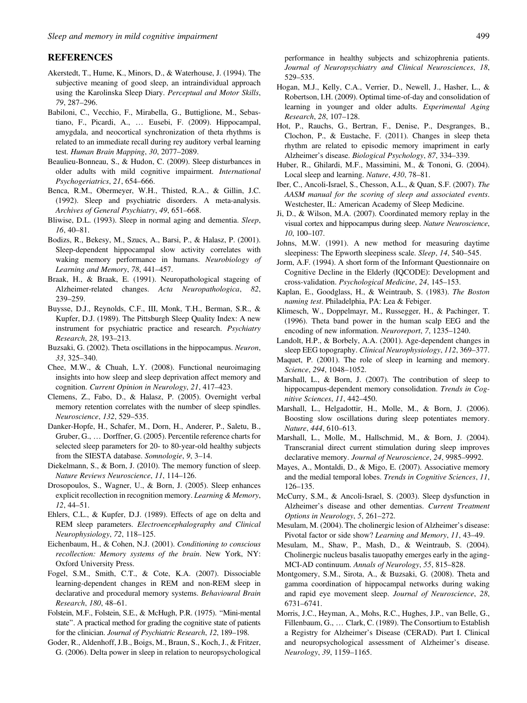## REFERENCES

- Akerstedt, T., Hume, K., Minors, D., & Waterhouse, J. (1994). The subjective meaning of good sleep, an intraindividual approach using the Karolinska Sleep Diary. Perceptual and Motor Skills, 79, 287–296.
- Babiloni, C., Vecchio, F., Mirabella, G., Buttiglione, M., Sebastiano, F., Picardi, A., ... Eusebi, F. (2009). Hippocampal, amygdala, and neocortical synchronization of theta rhythms is related to an immediate recall during rey auditory verbal learning test. Human Brain Mapping, 30, 2077–2089.
- Beaulieu-Bonneau, S., & Hudon, C. (2009). Sleep disturbances in older adults with mild cognitive impairment. International Psychogeriatrics, 21, 654–666.
- Benca, R.M., Obermeyer, W.H., Thisted, R.A., & Gillin, J.C. (1992). Sleep and psychiatric disorders. A meta-analysis. Archives of General Psychiatry, 49, 651–668.
- Bliwise, D.L. (1993). Sleep in normal aging and dementia. Sleep, 16, 40–81.
- Bodizs, R., Bekesy, M., Szucs, A., Barsi, P., & Halasz, P. (2001). Sleep-dependent hippocampal slow activity correlates with waking memory performance in humans. Neurobiology of Learning and Memory, 78, 441–457.
- Braak, H., & Braak, E. (1991). Neuropathological stageing of Alzheimer-related changes. Acta Neuropathologica, 82, 239–259.
- Buysse, D.J., Reynolds, C.F., III, Monk, T.H., Berman, S.R., & Kupfer, D.J. (1989). The Pittsburgh Sleep Quality Index: A new instrument for psychiatric practice and research. Psychiatry Research, 28, 193–213.
- Buzsaki, G. (2002). Theta oscillations in the hippocampus. Neuron, 33, 325–340.
- Chee, M.W., & Chuah, L.Y. (2008). Functional neuroimaging insights into how sleep and sleep deprivation affect memory and cognition. Current Opinion in Neurology, 21, 417–423.
- Clemens, Z., Fabo, D., & Halasz, P. (2005). Overnight verbal memory retention correlates with the number of sleep spindles. Neuroscience, 132, 529–535.
- Danker-Hopfe, H., Schafer, M., Dorn, H., Anderer, P., Saletu, B., Gruber, G., ... Dorffner, G. (2005). Percentile reference charts for selected sleep parameters for 20- to 80-year-old healthy subjects from the SIESTA database. Somnologie, 9, 3–14.
- Diekelmann, S., & Born, J. (2010). The memory function of sleep. Nature Reviews Neuroscience, 11, 114–126.
- Drosopoulos, S., Wagner, U., & Born, J. (2005). Sleep enhances explicit recollection in recognition memory. Learning & Memory, 12, 44–51.
- Ehlers, C.L., & Kupfer, D.J. (1989). Effects of age on delta and REM sleep parameters. Electroencephalography and Clinical Neurophysiology, 72, 118–125.
- Eichenbaum, H., & Cohen, N.J. (2001). Conditioning to conscious recollection: Memory systems of the brain. New York, NY: Oxford University Press.
- Fogel, S.M., Smith, C.T., & Cote, K.A. (2007). Dissociable learning-dependent changes in REM and non-REM sleep in declarative and procedural memory systems. Behavioural Brain Research, 180, 48–61.
- Folstein, M.F., Folstein, S.E., & McHugh, P.R. (1975). ''Mini-mental state''. A practical method for grading the cognitive state of patients for the clinician. Journal of Psychiatric Research, 12, 189–198.
- Goder, R., Aldenhoff, J.B., Boigs, M., Braun, S., Koch, J., & Fritzer, G. (2006). Delta power in sleep in relation to neuropsychological

performance in healthy subjects and schizophrenia patients. Journal of Neuropsychiatry and Clinical Neurosciences, 18, 529–535.

- Hogan, M.J., Kelly, C.A., Verrier, D., Newell, J., Hasher, L., & Robertson, I.H. (2009). Optimal time-of-day and consolidation of learning in younger and older adults. Experimental Aging Research, 28, 107–128.
- Hot, P., Rauchs, G., Bertran, F., Denise, P., Desgranges, B., Clochon, P., & Eustache, F. (2011). Changes in sleep theta rhythm are related to episodic memory imapriment in early Alzheimer's disease. Biological Psychology, 87, 334–339.
- Huber, R., Ghilardi, M.F., Massimini, M., & Tononi, G. (2004). Local sleep and learning. Nature, 430, 78–81.
- Iber, C., Ancoli-Israel, S., Chesson, A.L., & Quan, S.F. (2007). The AASM manual for the scoring of sleep and associated events. Westchester, IL: American Academy of Sleep Medicine.
- Ji, D., & Wilson, M.A. (2007). Coordinated memory replay in the visual cortex and hippocampus during sleep. Nature Neuroscience, 10, 100–107.
- Johns, M.W. (1991). A new method for measuring daytime sleepiness: The Epworth sleepiness scale. Sleep, 14, 540–545.
- Jorm, A.F. (1994). A short form of the Informant Questionnaire on Cognitive Decline in the Elderly (IQCODE): Development and cross-validation. Psychological Medicine, 24, 145–153.
- Kaplan, E., Goodglass, H., & Weintraub, S. (1983). The Boston naming test. Philadelphia, PA: Lea & Febiger.
- Klimesch, W., Doppelmayr, M., Russegger, H., & Pachinger, T. (1996). Theta band power in the human scalp EEG and the encoding of new information. Neuroreport, 7, 1235-1240.
- Landolt, H.P., & Borbely, A.A. (2001). Age-dependent changes in sleep EEG topography. Clinical Neurophysiology, 112, 369-377.
- Maquet, P. (2001). The role of sleep in learning and memory. Science, 294, 1048–1052.
- Marshall, L., & Born, J. (2007). The contribution of sleep to hippocampus-dependent memory consolidation. Trends in Cognitive Sciences, 11, 442–450.
- Marshall, L., Helgadottir, H., Molle, M., & Born, J. (2006). Boosting slow oscillations during sleep potentiates memory. Nature, 444, 610–613.
- Marshall, L., Molle, M., Hallschmid, M., & Born, J. (2004). Transcranial direct current stimulation during sleep improves declarative memory. Journal of Neuroscience, 24, 9985–9992.
- Mayes, A., Montaldi, D., & Migo, E. (2007). Associative memory and the medial temporal lobes. Trends in Cognitive Sciences, 11, 126–135.
- McCurry, S.M., & Ancoli-Israel, S. (2003). Sleep dysfunction in Alzheimer's disease and other dementias. Current Treatment Options in Neurology, 5, 261–272.
- Mesulam, M. (2004). The cholinergic lesion of Alzheimer's disease: Pivotal factor or side show? Learning and Memory, 11, 43–49.
- Mesulam, M., Shaw, P., Mash, D., & Weintraub, S. (2004). Cholinergic nucleus basalis tauopathy emerges early in the aging-MCI-AD continuum. Annals of Neurology, 55, 815–828.
- Montgomery, S.M., Sirota, A., & Buzsaki, G. (2008). Theta and gamma coordination of hippocampal networks during waking and rapid eye movement sleep. Journal of Neuroscience, 28, 6731–6741.
- Morris, J.C., Heyman, A., Mohs, R.C., Hughes, J.P., van Belle, G., Fillenbaum, G., ... Clark, C. (1989). The Consortium to Establish a Registry for Alzheimer's Disease (CERAD). Part I. Clinical and neuropsychological assessment of Alzheimer's disease. Neurology, 39, 1159–1165.